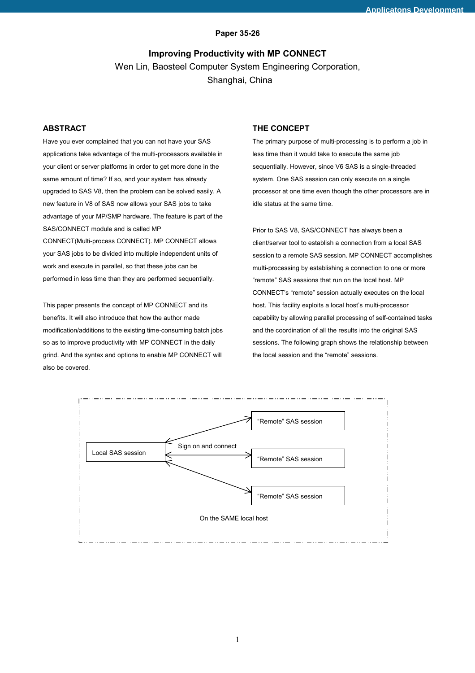## **Paper 35-26**

# **Improving Productivity with MP CONNECT**  Wen Lin, Baosteel Computer System Engineering Corporation, Shanghai, China

## **ABSTRACT**

Have you ever complained that you can not have your SAS applications take advantage of the multi-processors available in your client or server platforms in order to get more done in the same amount of time? If so, and your system has already upgraded to SAS V8, then the problem can be solved easily. A new feature in V8 of SAS now allows your SAS jobs to take advantage of your MP/SMP hardware. The feature is part of the SAS/CONNECT module and is called MP CONNECT(Multi-process CONNECT). MP CONNECT allows your SAS jobs to be divided into multiple independent units of

work and execute in parallel, so that these jobs can be performed in less time than they are performed sequentially.

This paper presents the concept of MP CONNECT and its benefits. It will also introduce that how the author made modification/additions to the existing time-consuming batch jobs so as to improve productivity with MP CONNECT in the daily grind. And the syntax and options to enable MP CONNECT will also be covered.

## **THE CONCEPT**

The primary purpose of multi-processing is to perform a job in less time than it would take to execute the same job sequentially. However, since V6 SAS is a single-threaded system. One SAS session can only execute on a single processor at one time even though the other processors are in idle status at the same time.

Prior to SAS V8, SAS/CONNECT has always been a client/server tool to establish a connection from a local SAS session to a remote SAS session. MP CONNECT accomplishes multi-processing by establishing a connection to one or more "remote" SAS sessions that run on the local host. MP CONNECT's "remote" session actually executes on the local host. This facility exploits a local host's multi-processor capability by allowing parallel processing of self-contained tasks and the coordination of all the results into the original SAS sessions. The following graph shows the relationship between the local session and the "remote" sessions.

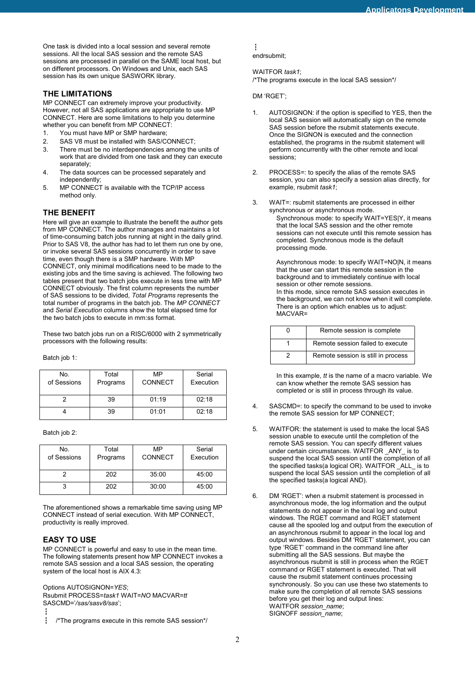One task is divided into a local session and several remote sessions. All the local SAS session and the remote SAS sessions are processed in parallel on the SAME local host, but on different processors. On Windows and Unix, each SAS session has its own unique SASWORK library.

## **THE LIMITATIONS**

MP CONNECT can extremely improve your productivity. However, not all SAS applications are appropriate to use MP CONNECT. Here are some limitations to help you determine whether you can benefit from MP CONNECT:

- 1. You must have MP or SMP hardware;
- 2. SAS V8 must be installed with SAS/CONNECT;
- 3. There must be no interdependencies among the units of work that are divided from one task and they can execute separately;
- 4. The data sources can be processed separately and independently;
- 5. MP CONNECT is available with the TCP/IP access method only.

## **THE BENEFIT**

Here will give an example to illustrate the benefit the author gets from MP CONNECT. The author manages and maintains a lot of time-consuming batch jobs running at night in the daily grind. Prior to SAS V8, the author has had to let them run one by one, or invoke several SAS sessions concurrently in order to save time, even though there is a SMP hardware. With MP CONNECT, only minimal modifications need to be made to the existing jobs and the time saving is achieved. The following two tables present that two batch jobs execute in less time with MP CONNECT obviously. The first column represents the number of SAS sessions to be divided, *Total Programs* represents the total number of programs in the batch job. The *MP CONNECT* and *Serial Execution* columns show the total elapsed time for the two batch jobs to execute in mm:ss format.

These two batch jobs run on a RISC/6000 with 2 symmetrically processors with the following results:

Batch job 1:

| No.<br>of Sessions | Total<br>Programs | MP<br>CONNECT | Serial<br>Execution |
|--------------------|-------------------|---------------|---------------------|
|                    | 39                | 01:19         | 02:18               |
|                    | 39                | 01:01         | 02:18               |

Batch job 2:

| No.<br>of Sessions | Total<br>Programs | MP<br><b>CONNECT</b> | Serial<br>Execution |
|--------------------|-------------------|----------------------|---------------------|
|                    | 202               | 35:00                | 45:00               |
|                    | 202               | 30:00                | 45:00               |

The aforementioned shows a remarkable time saving using MP CONNECT instead of serial execution. With MP CONNECT, productivity is really improved.

## **EASY TO USE**

MP CONNECT is powerful and easy to use in the mean time. The following statements present how MP CONNECT invokes a remote SAS session and a local SAS session, the operating system of the local host is AIX 4.3:

Options AUTOSIGNON=*YES*;

Rsubmit PROCESS=*task1* WAIT=*NO* MACVAR=*tt* SASCMD='*/sas/sasv8/sas*';

Ű

Ű

endrsubmit;

#### WAITFOR *task1*;

/\*The programs execute in the local SAS session\*/

#### DM 'RGET';

- 1. AUTOSIGNON: if the option is specified to YES, then the local SAS session will automatically sign on the remote SAS session before the rsubmit statements execute. Once the SIGNON is executed and the connection established, the programs in the rsubmit statement will perform concurrently with the other remote and local sessions;
- 2. PROCESS=: to specify the alias of the remote SAS session, you can also specify a session alias directly, for example, rsubmit *task1*;
- 3. WAIT=: rsubmit statements are processed in either synchronous or asynchronous mode.
	- Synchronous mode: to specify WAIT=YES|Y, it means that the local SAS session and the other remote sessions can not execute until this remote session has completed. Synchronous mode is the default processing mode.

Asynchronous mode: to specify WAIT=NO|N, it means that the user can start this remote session in the background and to immediately continue with local session or other remote sessions. In this mode, since remote SAS session executes in the background, we can not know when it will complete. There is an option which enables us to adjust: MACVAR=

| Remote session is complete         |
|------------------------------------|
| Remote session failed to execute   |
| Remote session is still in process |

In this example, *tt* is the name of a macro variable. We can know whether the remote SAS session has completed or is still in process through its value.

- 4. SASCMD=: to specify the command to be used to invoke the remote SAS session for MP CONNECT;
- 5. WAITFOR: the statement is used to make the local SAS session unable to execute until the completion of the remote SAS session. You can specify different values under certain circumstances. WAITFOR ANY is to suspend the local SAS session until the completion of all the specified tasks(a logical OR). WAITFOR \_ALL\_ is to suspend the local SAS session until the completion of all the specified tasks(a logical AND).
- 6. DM 'RGET': when a rsubmit statement is processed in asynchronous mode, the log information and the output statements do not appear in the local log and output windows. The RGET command and RGET statement cause all the spooled log and output from the execution of an asynchronous rsubmit to appear in the local log and output windows. Besides DM 'RGET' statement, you can type 'RGET' command in the command line after submitting all the SAS sessions. But maybe the asynchronous rsubmit is still in process when the RGET command or RGET statement is executed. That will cause the rsubmit statement continues processing synchronously. So you can use these two statements to make sure the completion of all remote SAS sessions before you get their log and output lines: WAITFOR *session\_name*; SIGNOFF *session\_name*;

<sup>&</sup>lt;sup>1</sup> /\*The programs execute in this remote SAS session\*/